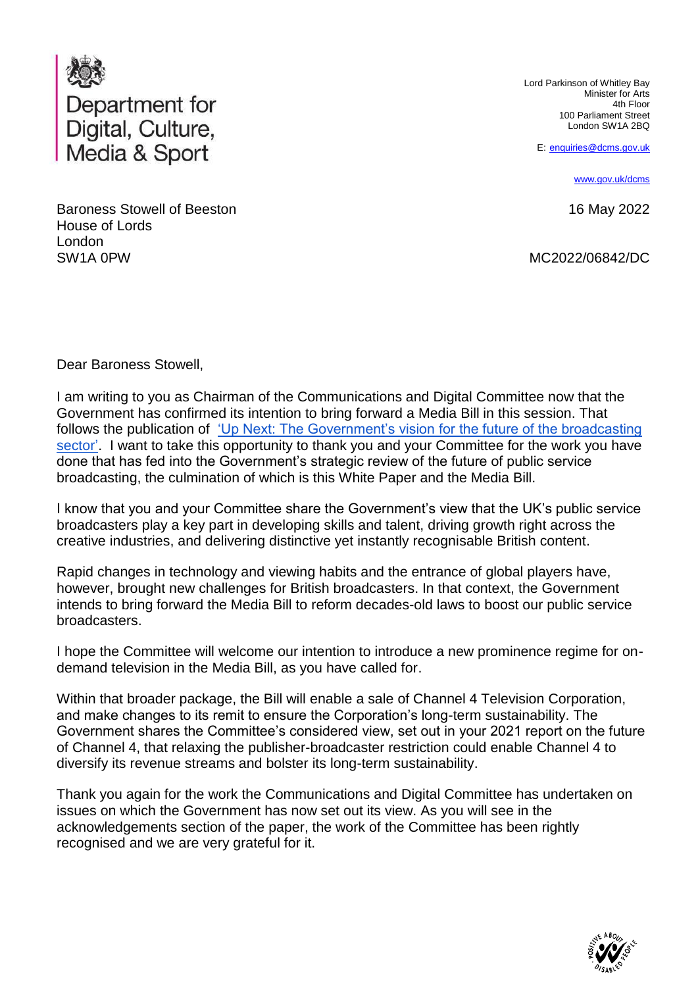

Baroness Stowell of Beeston House of Lords London SW1A 0PW

Lord Parkinson of Whitley Bay Minister for Arts 4th Floor 100 Parliament Street London SW1A 2BQ

E: [enquiries@dcms.gov.uk](mailto:enquiries@dcms.gov.uk)

[www.gov.uk/dcms](http://www.gov.uk/dcms)

16 May 2022

MC2022/06842/DC

Dear Baroness Stowell,

I am writing to you as Chairman of the Communications and Digital Committee now that the Government has confirmed its intention to bring forward a Media Bill in this session. That follows the publication of ['Up Next: The Government's vision for the future of the broadcasting](https://www.gov.uk/government/publications/up-next-the-governments-vision-for-the-broadcasting-sector)  [sector'.](https://www.gov.uk/government/publications/up-next-the-governments-vision-for-the-broadcasting-sector) I want to take this opportunity to thank you and your Committee for the work you have done that has fed into the Government's strategic review of the future of public service broadcasting, the culmination of which is this White Paper and the Media Bill.

I know that you and your Committee share the Government's view that the UK's public service broadcasters play a key part in developing skills and talent, driving growth right across the creative industries, and delivering distinctive yet instantly recognisable British content.

Rapid changes in technology and viewing habits and the entrance of global players have, however, brought new challenges for British broadcasters. In that context, the Government intends to bring forward the Media Bill to reform decades-old laws to boost our public service broadcasters.

I hope the Committee will welcome our intention to introduce a new prominence regime for ondemand television in the Media Bill, as you have called for.

Within that broader package, the Bill will enable a sale of Channel 4 Television Corporation, and make changes to its remit to ensure the Corporation's long-term sustainability. The Government shares the Committee's considered view, set out in your 2021 report on the future of Channel 4, that relaxing the publisher-broadcaster restriction could enable Channel 4 to diversify its revenue streams and bolster its long-term sustainability.

Thank you again for the work the Communications and Digital Committee has undertaken on issues on which the Government has now set out its view. As you will see in the acknowledgements section of the paper, the work of the Committee has been rightly recognised and we are very grateful for it.